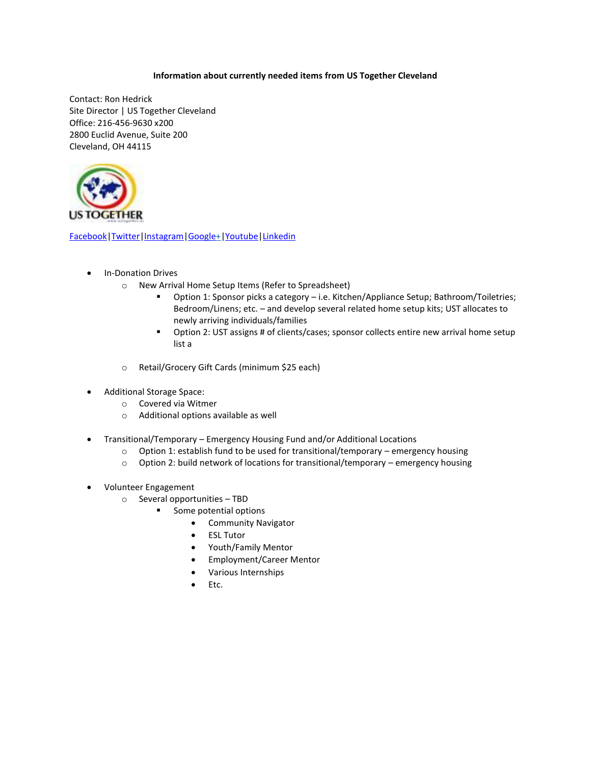## **Information about currently needed items from US Together Cleveland**

Contact: Ron Hedrick Site Director | US Together Cleveland Office: 216-456-9630 x200 2800 Euclid Avenue, Suite 200 Cleveland, OH 44115



[Facebook](https://www.facebook.com/ustogethercle/?eid=ARDrTFoeG8MXi8zWrKKV0qqn7R_Hg-Yyb2kY9esovpA6IGmRDuPtvk6A9Sy4xaekneg9CeFkbSkJ73LN)[|Twitter](https://twitter.com/USTogetherCLE)[|Instagram|](https://www.instagram.com/ustogether_cleveland/)[Google+](https://plus.google.com/app/basic/100546602143377810741/about?gl=us&hl=en)[|Youtube|](https://plus.google.com/u/0/103568854223106483912)[Linkedin](https://www.linkedin.com/company/1282740?trk=prof-exp-company-name)

- In-Donation Drives
	- o New Arrival Home Setup Items (Refer to Spreadsheet)
		- Option 1: Sponsor picks a category i.e. Kitchen/Appliance Setup; Bathroom/Toiletries; Bedroom/Linens; etc. – and develop several related home setup kits; UST allocates to newly arriving individuals/families
		- Option 2: UST assigns # of clients/cases; sponsor collects entire new arrival home setup list a
	- o Retail/Grocery Gift Cards (minimum \$25 each)
- Additional Storage Space:
	- o Covered via Witmer
	- o Additional options available as well
- Transitional/Temporary Emergency Housing Fund and/or Additional Locations
	- $\circ$  Option 1: establish fund to be used for transitional/temporary emergency housing
	- o Option 2: build network of locations for transitional/temporary emergency housing
- Volunteer Engagement
	- o Several opportunities TBD
		- Some potential options
			- Community Navigator
			- **ESL Tutor**
			- Youth/Family Mentor
			- Employment/Career Mentor
			- Various Internships
			- Etc.